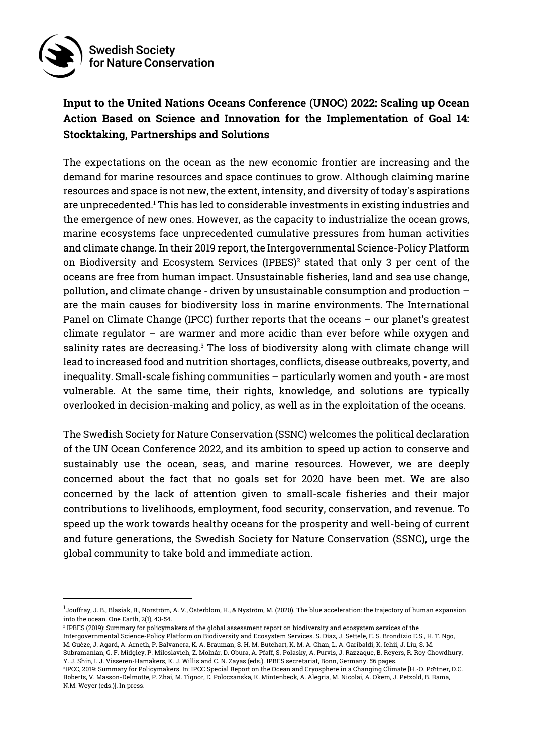

# **Input to the United Nations Oceans Conference (UNOC) 2022: Scaling up Ocean Action Based on Science and Innovation for the Implementation of Goal 14: Stocktaking, Partnerships and Solutions**

The expectations on the ocean as the new economic frontier are increasing and the demand for marine resources and space continues to grow. Although claiming marine resources and space is not new, the extent, intensity, and diversity of today's aspirations are unprecedented.<sup>1</sup> This has led to considerable investments in existing industries and the emergence of new ones. However, as the capacity to industrialize the ocean grows, marine ecosystems face unprecedented cumulative pressures from human activities and climate change. In their 2019 report, the Intergovernmental Science-Policy Platform on Biodiversity and Ecosystem Services (IPBES)<sup>2</sup> stated that only 3 per cent of the oceans are free from human impact. Unsustainable fisheries, land and sea use change, pollution, and climate change - driven by unsustainable consumption and production – are the main causes for biodiversity loss in marine environments. The International Panel on Climate Change (IPCC) further reports that the oceans – our planet's greatest climate regulator  $-$  are warmer and more acidic than ever before while oxygen and salinity rates are decreasing. <sup>3</sup> The loss of biodiversity along with climate change will lead to increased food and nutrition shortages, conflicts, disease outbreaks, poverty, and inequality. Small-scale fishing communities – particularly women and youth - are most vulnerable. At the same time, their rights, knowledge, and solutions are typically overlooked in decision-making and policy, as well as in the exploitation of the oceans.

The Swedish Society for Nature Conservation (SSNC) welcomes the political declaration of the UN Ocean Conference 2022, and its ambition to speed up action to conserve and sustainably use the ocean, seas, and marine resources. However, we are deeply concerned about the fact that no goals set for 2020 have been met. We are also concerned by the lack of attention given to small-scale fisheries and their major contributions to livelihoods, employment, food security, conservation, and revenue. To speed up the work towards healthy oceans for the prosperity and well-being of current and future generations, the Swedish Society for Nature Conservation (SSNC), urge the global community to take bold and immediate action.

Y. J. Shin, I. J. Visseren-Hamakers, K. J. Willis and C. N. Zayas (eds.). IPBES secretariat, Bonn, Germany. 56 pages.

<sup>&</sup>lt;sup>1</sup>Jouffray, J. B., Blasiak, R., Norström, A. V., Österblom, H., & Nyström, M. (2020). The blue acceleration: the trajectory of human expansion into the ocean. One Earth, 2(1), 43-54.

<sup>2</sup> IPBES (2019): Summary for policymakers of the global assessment report on biodiversity and ecosystem services of the Intergovernmental Science-Policy Platform on Biodiversity and Ecosystem Services. S. Díaz, J. Settele, E. S. Brondízio E.S., H. T. Ngo, M. Guèze, J. Agard, A. Arneth, P. Balvanera, K. A. Brauman, S. H. M. Butchart, K. M. A. Chan, L. A. Garibaldi, K. Ichii, J. Liu, S. M. Subramanian, G. F. Midgley, P. Miloslavich, Z. Molnár, D. Obura, A. Pfaff, S. Polasky, A. Purvis, J. Razzaque, B. Reyers, R. Roy Chowdhury,

 $^3$ IPCC, 2019: Summary for Policymakers. In: IPCC Special Report on the Ocean and Cryosphere in a Changing Climate [H.-O. Portner, D.C. Roberts, V. Masson-Delmotte, P. Zhai, M. Tignor, E. Poloczanska, K. Mintenbeck, A. Alegría, M. Nicolai, A. Okem, J. Petzold, B. Rama, N.M. Weyer (eds.)]. In press.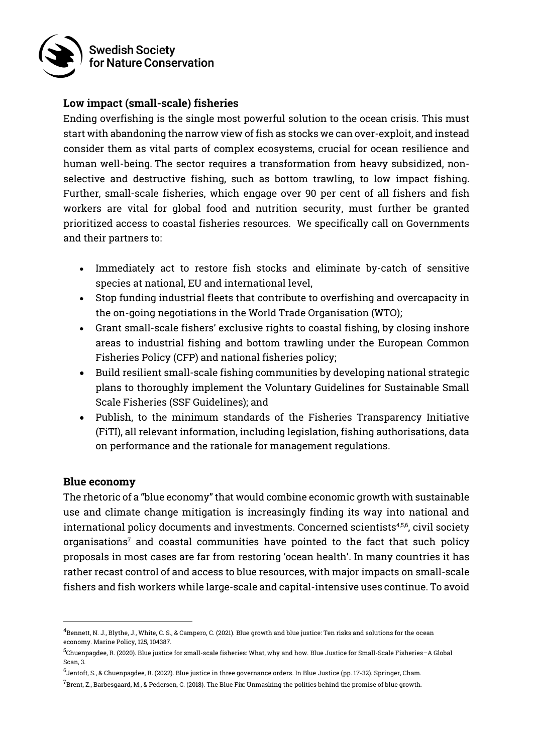

### **Low impact (small-scale) fisheries**

Ending overfishing is the single most powerful solution to the ocean crisis. This must start with abandoning the narrow view of fish as stocks we can over-exploit, and instead consider them as vital parts of complex ecosystems, crucial for ocean resilience and human well-being. The sector requires a transformation from heavy subsidized, nonselective and destructive fishing, such as bottom trawling, to low impact fishing. Further, small-scale fisheries, which engage over 90 per cent of all fishers and fish workers are vital for global food and nutrition security, must further be granted prioritized access to coastal fisheries resources. We specifically call on Governments and their partners to:

- Immediately act to restore fish stocks and eliminate by-catch of sensitive species at national, EU and international level,
- Stop funding industrial fleets that contribute to overfishing and overcapacity in the on-going negotiations in the World Trade Organisation (WTO);
- Grant small-scale fishers' exclusive rights to coastal fishing, by closing inshore areas to industrial fishing and bottom trawling under the European Common Fisheries Policy (CFP) and national fisheries policy;
- Build resilient small-scale fishing communities by developing national strategic plans to thoroughly implement the Voluntary Guidelines for Sustainable Small Scale Fisheries (SSF Guidelines); and
- Publish, to the minimum standards of the Fisheries Transparency Initiative (FiTI), all relevant information, including legislation, fishing authorisations, data on performance and the rationale for management regulations.

#### **Blue economy**

The rhetoric of a "blue economy" that would combine economic growth with sustainable use and climate change mitigation is increasingly finding its way into national and international policy documents and investments. Concerned scientists<sup>4,5,6</sup>, civil society organisations<sup>7</sup> and coastal communities have pointed to the fact that such policy proposals in most cases are far from restoring 'ocean health'. In many countries it has rather recast control of and access to blue resources, with major impacts on small-scale fishers and fish workers while large-scale and capital-intensive uses continue. To avoid

 $^4$ Bennett, N. J., Blythe, J., White, C. S., & Campero, C. (2021). Blue growth and blue justice: Ten risks and solutions for the ocean economy. Marine Policy, 125, 104387.

<sup>&</sup>lt;sup>5</sup>Chuenpagdee, R. (2020). Blue justice for small-scale fisheries: What, why and how. Blue Justice for Small-Scale Fisheries–A Global Scan, 3.

<sup>&</sup>lt;sup>6</sup>Jentoft, S., & Chuenpagdee, R. (2022). Blue justice in three governance orders. In Blue Justice (pp. 17-32). Springer, Cham.

 $^7$ Brent, Z., Barbesgaard, M., & Pedersen, C. (2018). The Blue Fix: Unmasking the politics behind the promise of blue growth.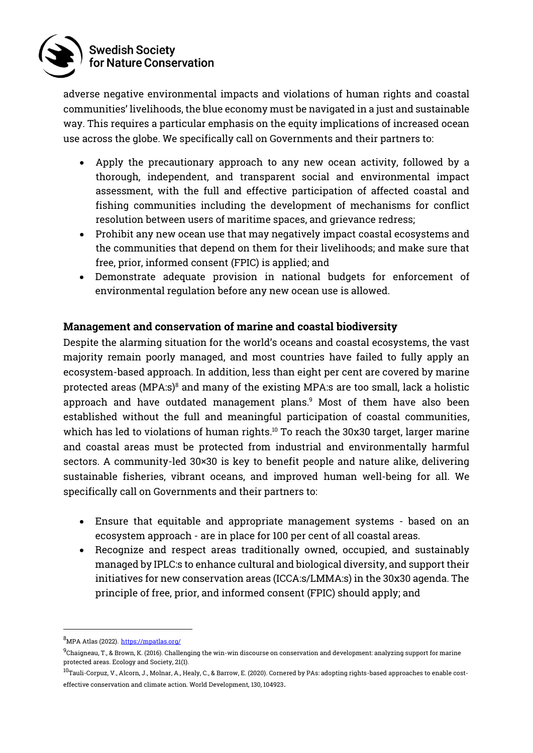

adverse negative environmental impacts and violations of human rights and coastal communities' livelihoods, the blue economy must be navigated in a just and sustainable way. This requires a particular emphasis on the equity implications of increased ocean use across the globe. We specifically call on Governments and their partners to:

- Apply the precautionary approach to any new ocean activity, followed by a thorough, independent, and transparent social and environmental impact assessment, with the full and effective participation of affected coastal and fishing communities including the development of mechanisms for conflict resolution between users of maritime spaces, and grievance redress;
- Prohibit any new ocean use that may negatively impact coastal ecosystems and the communities that depend on them for their livelihoods; and make sure that free, prior, informed consent (FPIC) is applied; and
- Demonstrate adequate provision in national budgets for enforcement of environmental regulation before any new ocean use is allowed.

# **Management and conservation of marine and coastal biodiversity**

Despite the alarming situation for the world's oceans and coastal ecosystems, the vast majority remain poorly managed, and most countries have failed to fully apply an ecosystem-based approach. In addition, less than eight per cent are covered by marine protected areas (MPA:s)<sup>8</sup> and many of the existing MPA:s are too small, lack a holistic approach and have outdated management plans. <sup>9</sup> Most of them have also been established without the full and meaningful participation of coastal communities, which has led to violations of human rights. <sup>10</sup> To reach the 30x30 target, larger marine and coastal areas must be protected from industrial and environmentally harmful sectors. A community-led 30×30 is key to benefit people and nature alike, delivering sustainable fisheries, vibrant oceans, and improved human well-being for all. We specifically call on Governments and their partners to:

- Ensure that equitable and appropriate management systems based on an ecosystem approach - are in place for 100 per cent of all coastal areas.
- Recognize and respect areas traditionally owned, occupied, and sustainably managed by IPLC:s to enhance cultural and biological diversity, and support their initiatives for new conservation areas (ICCA:s/LMMA:s) in the 30x30 agenda. The principle of free, prior, and informed consent (FPIC) should apply; and

 $^8$ MPA Atlas (2022). <https://mpatlas.org/>

 $^9$ Chaigneau, T., & Brown, K. (2016). Challenging the win-win discourse on conservation and development: analyzing support for marine protected areas. Ecology and Society, 21(1).

 $^{10}$ Tauli-Corpuz, V., Alcorn, J., Molnar, A., Healy, C., & Barrow, E. (2020). Cornered by PAs: adopting rights-based approaches to enable costeffective conservation and climate action. World Development, 130, 104923.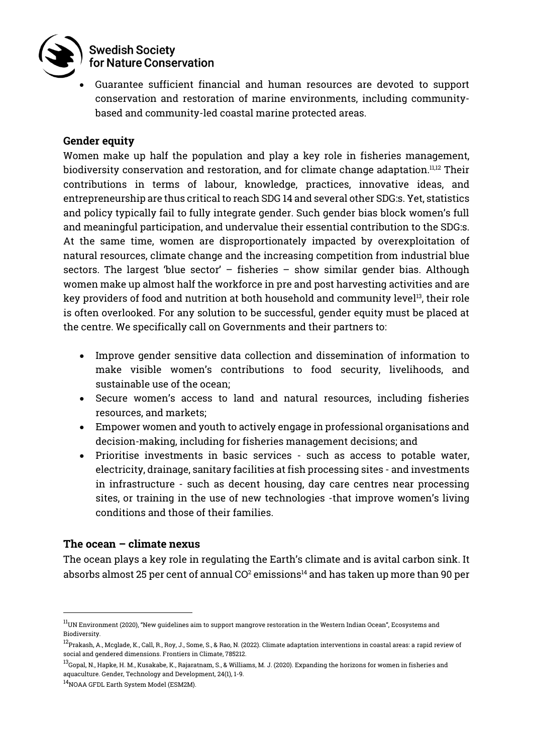

#### **Swedish Society** for Nature Conservation

• Guarantee sufficient financial and human resources are devoted to support conservation and restoration of marine environments, including communitybased and community-led coastal marine protected areas.

### **Gender equity**

Women make up half the population and play a key role in fisheries management, biodiversity conservation and restoration, and for climate change adaptation.<sup>11,12</sup> Their contributions in terms of labour, knowledge, practices, innovative ideas, and entrepreneurship are thus critical to reach SDG 14 and several other SDG:s. Yet, statistics and policy typically fail to fully integrate gender. Such gender bias block women's full and meaningful participation, and undervalue their essential contribution to the SDG:s. At the same time, women are disproportionately impacted by overexploitation of natural resources, climate change and the increasing competition from industrial blue sectors. The largest 'blue sector'  $-$  fisheries  $-$  show similar gender bias. Although women make up almost half the workforce in pre and post harvesting activities and are key providers of food and nutrition at both household and community level 13 , their role is often overlooked. For any solution to be successful, gender equity must be placed at the centre. We specifically call on Governments and their partners to:

- Improve gender sensitive data collection and dissemination of information to make visible women's contributions to food security, livelihoods, and sustainable use of the ocean;
- Secure women's access to land and natural resources, including fisheries resources, and markets;
- Empower women and youth to actively engage in professional organisations and decision-making, including for fisheries management decisions; and
- Prioritise investments in basic services such as access to potable water, electricity, drainage, sanitary facilities at fish processing sites - and investments in infrastructure - such as decent housing, day care centres near processing sites, or training in the use of new technologies -that improve women's living conditions and those of their families.

# **The ocean – climate nexus**

The ocean plays a key role in regulating the Earth's climate and is avital carbon sink. It absorbs almost 25 per cent of annual  $CO<sup>2</sup>$  emissions<sup>14</sup> and has taken up more than 90 per

 $^{11}$ UN Environment (2020), "New guidelines aim to support mangrove restoration in the Western Indian Ocean", Ecosystems and Biodiversity.

 $^{12}$ Prakash, A., Mcglade, K., Call, R., Roy, J., Some, S., & Rao, N. (2022). Climate adaptation interventions in coastal areas: a rapid review of social and gendered dimensions. Frontiers in Climate, 785212.

 $^{13}$ Gopal, N., Hapke, H. M., Kusakabe, K., Rajaratnam, S., & Williams, M. J. (2020). Expanding the horizons for women in fisheries and aquaculture. Gender, Technology and Development, 24(1), 1-9.

<sup>&</sup>lt;sup>14</sup>NOAA GFDL Earth System Model (ESM2M).